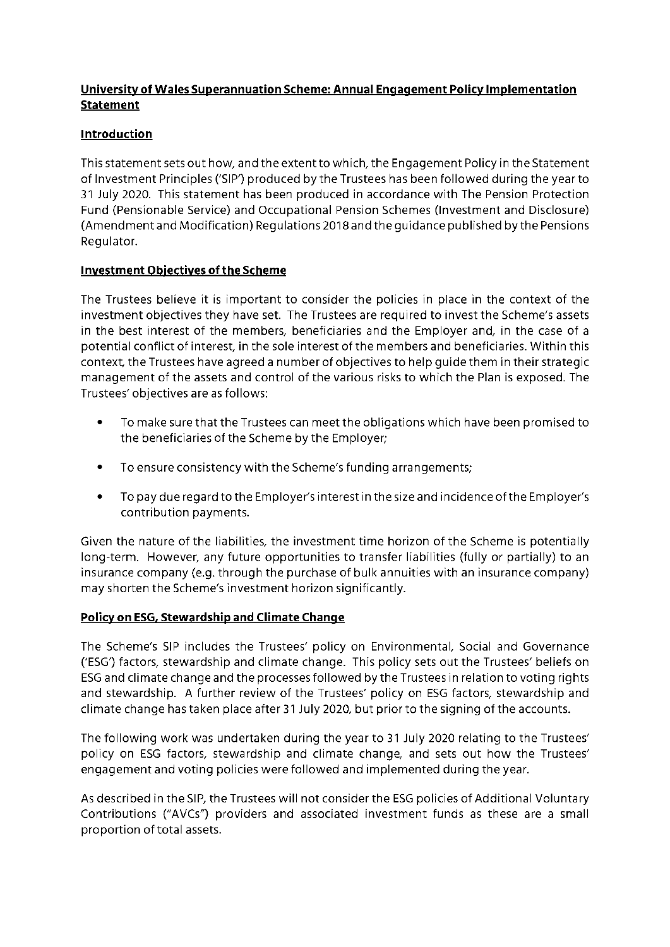# **University of Wales Superannuation Scheme: Annual Engagement Policy Implementation Statement**

# **Introduction**

This statement sets out how, and the extent to which, the Engagement Policy in the Statement of Investment Principles ('SIP') produced by the Trustees has been followed during the year to 37 July 2020. This statement has been produced in accordance with The Pension Protection Fund (Pensionable Service) and Occupational Pension Schemes (Investment and Disclosure) {Amendment and Modification) Regulations 2018 and the guidance published by the Pensions Regulator.

# **Investment Objectives of the Scheme**

The Trustees believe it is important to consider the policies in place in the context of the investment objectives they have set. The Trustees are required to invest the Scheme's assets in the best interest of the members, beneficiaries and the Employer and, in the case of a potential conflict of interest, in the sole interest of the members and beneficiaries. Within this context, the Trustees have agreed a number of objectives to help guide them in their strategic management of the assets and control of the various risks to which the Plan is exposed. The Trustees' objectives are as follows:

- $\bullet$ To make sure that the Trustees can meet the obligations which have been promised to the beneficiaries of the Scheme by the Employer;
- $\bullet$ To ensure consistency with the Scheme's funding arrangements;
- $\bullet$ To pay due regard to the Employer's interest in the size and incidence of the Employer's contribution payments.

Given the nature of the liabilities, the investment time horizon of the Scheme is potentially long-term. However, any future opportunities to transfer liabilities (fully or partially) to an insurance company (e.g. through the purchase of bulk annuities with an insurance company) may shorten the Scheme's investment horizon significantly.

# **Policy on ESG, Stewardship and Climate Change**

The Scheme's SIP includes the Trustees' policy on Environmental, Social and Governance ('ESG') factors, stewardship and climate change. This policy sets out the Trustees' beliefs on ESG and climate change and the processes followed by the Trustees in relation to voting rights and stewardship. A further review of the Trustees' policy on ESG factors, stewardship and climate change has taken place after 31 July 2020, but prior to the signing of the accounts.

The following work was undertaken during the year to 31 July 2020 relating to the Trustees' policy on ESG factors, stewardship and climate change, and sets out how the Trustees' engagement and voting policies were followed and implemented during the year.

As described in the SIP, the Trustees will not consider the ESG policies of Additional Voluntary Contributions ("AVCs") providers and associated investment funds as these are a small proportion of total assets.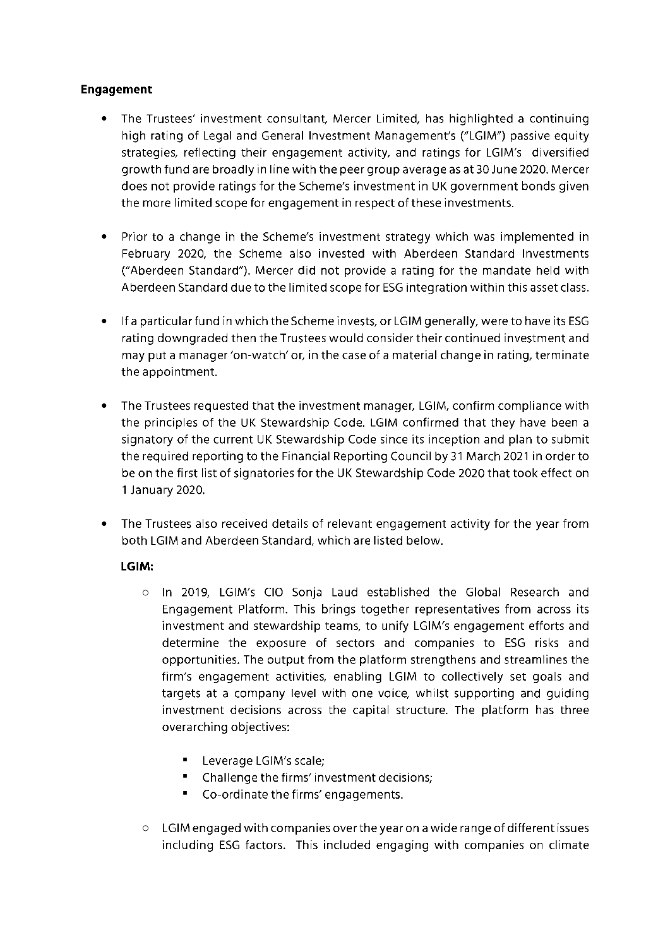# **Engagement**

- The Trustees' investment consultant, Mercer Limited, has highlighted a continuing high rating of Legal and General Investment Management's ("LGIM") passive equity strategies, reflecting their engagement activity, and ratings for LGIM's diversified growth fund are broadly in line with the peer group average as at 30June 2020. Mercer does not provide ratings for the Scheme's investment in UK government bonds given the more limited scope for engagement in respect of these investments.
- Prior to a change in the Scheme's investment strategy which was implemented in February 2020, the Scheme also invested with Aberdeen Standard Investments {"Aberdeen Standard"). Mercer did not provide a rating for the mandate held with Aberdeen Standard due to the limited scope for ESG integration within this asset class.
- If a particular fund in which the Scheme invests, or LGIM generally, were to have its ESG rating downgraded then the Trustees would consider their continued investment and may put a manager 'on-watch' or, in the case of a material change in rating, terminate the appointment.
- $\bullet$ The Trustees requested that the investment manager, LGIM, confirm compliance with the principles of the UK Stewardship Code. LGIM confirmed that they have been a signatory of the current UK Stewardship Code since its inception and plan to submit the required reporting to the Financial Reporting Council by 31 March 2021 in order to be on the first list of signatories for the UK Stewardship Code 2020 that took effect on 1 January 2020.
- $\bullet$ The Trustees also received details of relevant engagement activity for the year from both LGIM and Aberdeen Standard, which are listed below.

# **LGIM:**

- o In 2019, LGIM's CIO Sonja Laud established the Global Research and Engagement Platform. This brings together representatives from across its investment and stewardship teams, to unify LGIM's engagement efforts and determine the exposure of sectors and companies to ESG risks and opportunities. The output from the platform strengthens and streamlines the firm's engagement activities, enabling LGIM to collectively set goals and targets at a company level with one voice, whilst supporting and guiding investment decisions across the capital structure. The platform has three overarching objectives:
	- **Leverage LGIM's scale;**
	- **Challenge the firms' investment decisions;**
	- **Co-ordinate the firms' engagements.**
- o LGIM engaged with companies over the year on a wide range of different issues including ESG factors. This included engaging with companies on climate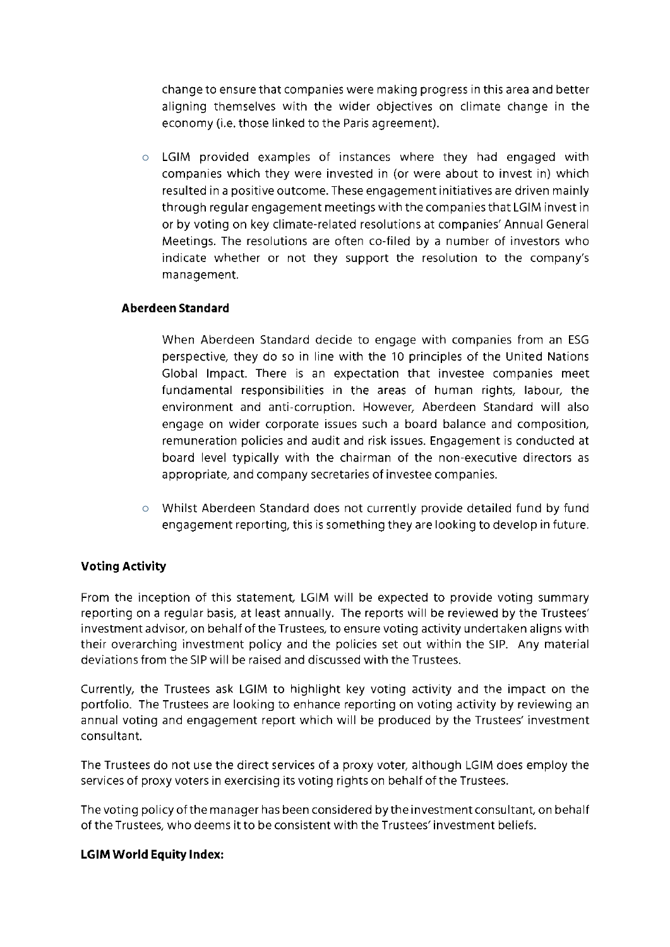change to ensure that companies were making progress in this area and better aligning themselves with the wider objectives on climate change in the economy (i.e. those linked to the Paris agreement).

o LGIM provided examples of instances where they had engaged with companies which they were invested in (or were about to invest in) which resulted in a positive outcome. These engagement initiatives are driven mainly through regular engagement meetings with the companies that LGIM invest in or by voting on key climate-related resolutions at companies' Annual General Meetings. The resolutions are often co-filed by a number of investors who indicate whether or not they support the resolution to the company's management.

#### **Aberdeen Standard**

When Aberdeen Standard decide to engage with companies from an ESG perspective, they do so in line with the 10 principles of the United Nations Global Impact. There is an expectation that investee companies meet fundamental responsibilities in the areas of human rights, labour, the environment and anti-corruption. However, Aberdeen Standard will also engage on wider corporate issues such a board balance and composition, remuneration policies and audit and risk issues. Engagement is conducted at board level typically with the chairman of the non-executive directors as appropriate, and company secretaries of investee companies.

o Whilst Aberdeen Standard does not currently provide detailed fund by fund engagement reporting, this is something they are looking to develop in future.

# **Voting Activity**

From the inception of this statement, LGIM will be expected to provide voting summary reporting on a regular basis, at least annually. The reports will be reviewed by the Trustees' investment advisor, on behalf of the Trustees, to ensure voting activity undertaken aligns with their overarching investment policy and the policies set out within the SIP. Any material deviations from the SIP will be raised and discussed with the Trustees.

Currently, the Trustees ask LGIM to highlight key voting activity and the impact on the portfolio. The Trustees are looking to enhance reporting on voting activity by reviewing an annual voting and engagement report which will be produced by the Trustees' investment consultant.

The Trustees do not use the direct services of a proxy voter, although LGIM does employ the services of proxy voters in exercising its voting rights on behalf of the Trustees.

The voting policy of the manager has been considered by the investment consultant, on behalf of the Trustees, who deems it to be consistent with the Trustees' investment beliefs.

#### **LGIM World Equity Index:**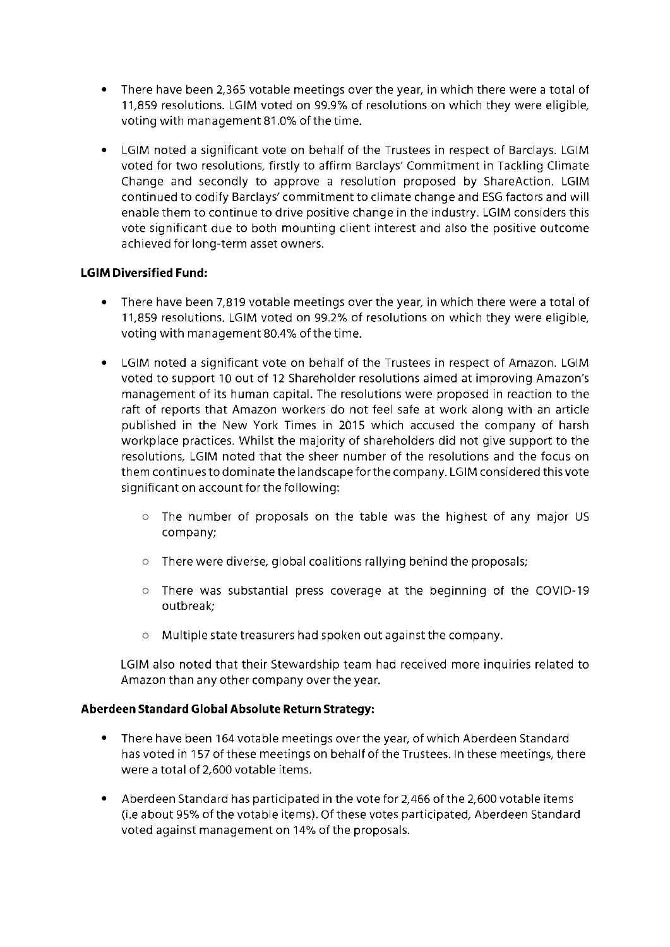- There have been 2,365 votable meetings over the year, in which there were a total of 11,859 resolutions. LGIM voted on 99.9% of resolutions on which they were eligible, voting with management 81.0% of the time.
- LGIM noted a significant vote on behalf of the Trustees in respect of Barclays. LGIM voted for two resolutions, firstly to affirm Barclays' Commitment in Tackling Climate Change and secondly to approve a resolution proposed by ShareAction. LGIM continued to codify Barclays' commitment to climate change and ESG factors and will enable them to continue to drive positive change in the industry. LGIM considers this vote significant due to both mounting client interest and also the positive outcome achieved for long-term asset owners.

### **LGIM Diversified Fund:**

- There have been 7,819 votable meetings over the year, in which there were a total of 11,859 resolutions. LGIM voted on 99.2% of resolutions on which they were eligible, voting with management 80.4% of the time.
- LGIM noted a significant vote on behalf of the Trustees in respect of Amazon. LGIM voted to support 10 out of 12 Shareholder resolutions aimed at improving Amazon's management of its human capital. The resolutions were proposed in reaction to the raft of reports that Amazon workers do not feel safe at work along with an article published in the New York Times in 2015 which accused the company of harsh workplace practices. Whilst the majority of shareholders did not give support to the resolutions, LGIM noted that the sheer number of the resolutions and the focus on them continues to dominate the landscape for the company. LGIM considered this vote significant on account for the following:
	- o The number of proposals on the table was the highest of any major US company;
	- o There were diverse, global coalitions rallying behind the proposals;
	- o There was substantial press coverage at the beginning of the COVID-19 outbreak;
	- o Multiple state treasurers had spoken out against the company.

LGIM also noted that their Stewardship team had received more inquiries related to Amazon than any other company over the year.

#### **Aberdeen Standard Global Absolute Return Strategy:**

- There have been 164 votable meetings over the year, of which Aberdeen Standard has voted in 157 of these meetings on behalf of the Trustees. In these meetings, there were a total of 2,600 votable items.
- Aberdeen Standard has participated in the vote for 2,466 of the 2,600 votable items (i.e about 95% of the votable items). Of these votes participated, Aberdeen Standard voted against management on 14% of the proposals.